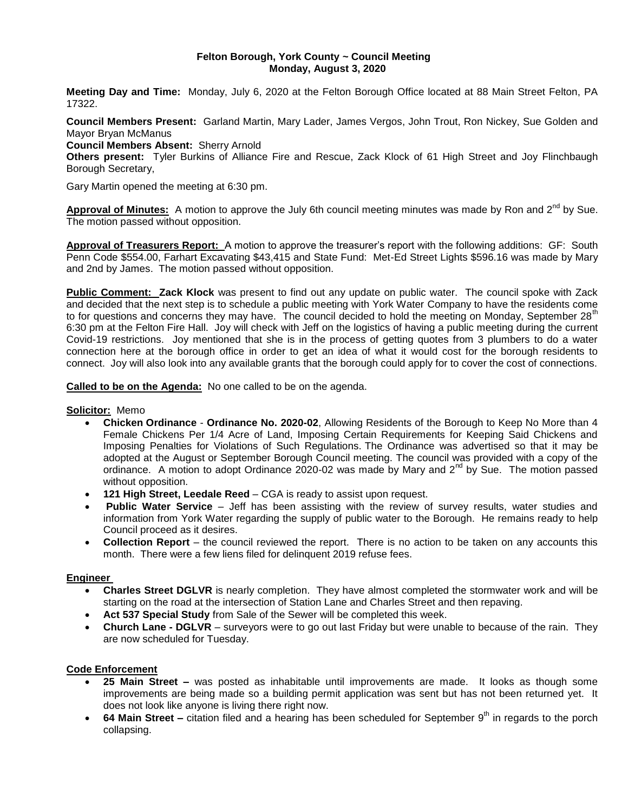### **Felton Borough, York County ~ Council Meeting Monday, August 3, 2020**

**Meeting Day and Time:** Monday, July 6, 2020 at the Felton Borough Office located at 88 Main Street Felton, PA 17322.

**Council Members Present:** Garland Martin, Mary Lader, James Vergos, John Trout, Ron Nickey, Sue Golden and Mayor Bryan McManus

**Council Members Absent:** Sherry Arnold

**Others present:** Tyler Burkins of Alliance Fire and Rescue, Zack Klock of 61 High Street and Joy Flinchbaugh Borough Secretary,

Gary Martin opened the meeting at 6:30 pm.

Approval of Minutes: A motion to approve the July 6th council meeting minutes was made by Ron and 2<sup>nd</sup> by Sue. The motion passed without opposition.

**Approval of Treasurers Report:** A motion to approve the treasurer's report with the following additions: GF: South Penn Code \$554.00, Farhart Excavating \$43,415 and State Fund: Met-Ed Street Lights \$596.16 was made by Mary and 2nd by James. The motion passed without opposition.

**Public Comment: Zack Klock** was present to find out any update on public water. The council spoke with Zack and decided that the next step is to schedule a public meeting with York Water Company to have the residents come to for questions and concerns they may have. The council decided to hold the meeting on Monday, September 28<sup>th</sup> 6:30 pm at the Felton Fire Hall. Joy will check with Jeff on the logistics of having a public meeting during the current Covid-19 restrictions. Joy mentioned that she is in the process of getting quotes from 3 plumbers to do a water connection here at the borough office in order to get an idea of what it would cost for the borough residents to connect. Joy will also look into any available grants that the borough could apply for to cover the cost of connections.

**Called to be on the Agenda:** No one called to be on the agenda.

#### **Solicitor:** Memo

- **Chicken Ordinance Ordinance No. 2020-02**, Allowing Residents of the Borough to Keep No More than 4 Female Chickens Per 1/4 Acre of Land, Imposing Certain Requirements for Keeping Said Chickens and Imposing Penalties for Violations of Such Regulations. The Ordinance was advertised so that it may be adopted at the August or September Borough Council meeting. The council was provided with a copy of the ordinance. A motion to adopt Ordinance 2020-02 was made by Mary and 2<sup>nd</sup> by Sue. The motion passed without opposition.
- **121 High Street, Leedale Reed** CGA is ready to assist upon request.
- **Public Water Service** Jeff has been assisting with the review of survey results, water studies and information from York Water regarding the supply of public water to the Borough. He remains ready to help Council proceed as it desires.
- **Collection Report** the council reviewed the report. There is no action to be taken on any accounts this month. There were a few liens filed for delinquent 2019 refuse fees.

### **Engineer**

- **Charles Street DGLVR** is nearly completion. They have almost completed the stormwater work and will be starting on the road at the intersection of Station Lane and Charles Street and then repaving.
- **Act 537 Special Study** from Sale of the Sewer will be completed this week.
- **Church Lane - DGLVR**  surveyors were to go out last Friday but were unable to because of the rain. They are now scheduled for Tuesday.

### **Code Enforcement**

- **25 Main Street –** was posted as inhabitable until improvements are made. It looks as though some improvements are being made so a building permit application was sent but has not been returned yet. It does not look like anyone is living there right now.
- 64 Main Street citation filed and a hearing has been scheduled for September 9<sup>th</sup> in regards to the porch collapsing.